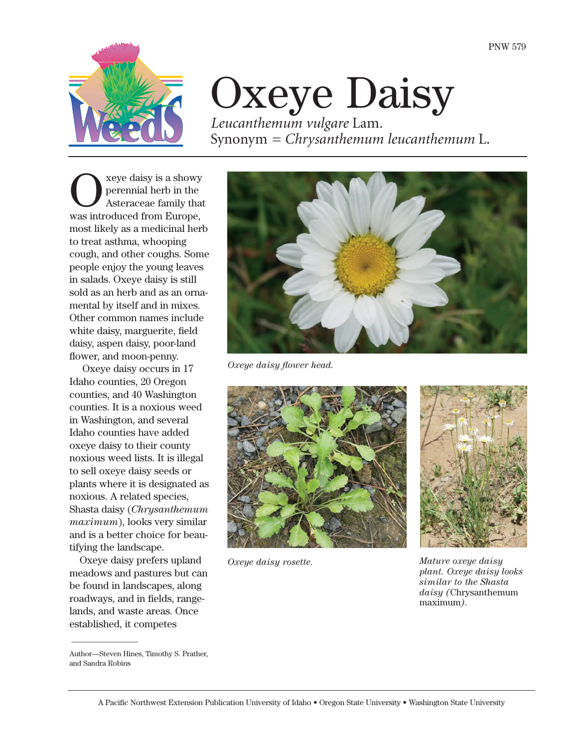

# Oxeye Daisy

*Leucanthemum vulgare* Lam*.* Synonym *= Chrysanthemum leucanthemum* L.

Seye daisy is a showy<br>perennial herb in the<br>Asteraceae family that perennial herb in the Asteraceae family that was introduced from Europe, most likely as a medicinal herb to treat asthma, whooping cough, and other coughs. Some people enjoy the young leaves in salads. Oxeye daisy is still sold as an herb and as an ornamental by itself and in mixes. Other common names include white daisy, marguerite, field daisy, aspen daisy, poor-land flower, and moon-penny.

Oxeye daisy occurs in 17 Idaho counties, 20 Oregon counties, and 40 Washington counties. It is a noxious weed in Washington, and several Idaho counties have added oxeye daisy to their county noxious weed lists. It is illegal to sell oxeye daisy seeds or plants where it is designated as noxious. A related species, Shasta daisy (*Chrysanthemum maximum*), looks very similar and is a better choice for beautifying the landscape.

Oxeye daisy prefers upland meadows and pastures but can be found in landscapes, along roadways, and in fields, rangelands, and waste areas. Once established, it competes



*Oxeye daisy flower head.*



*Oxeye daisy rosette.*



*Mature oxeye daisy plant. Oxeye daisy looks similar to the Shasta daisy (*Chrysanthemum maximum*).*

 $\overline{\phantom{a}}$ 

Author—Steven Hines, Timothy S. Prather, and Sandra Robins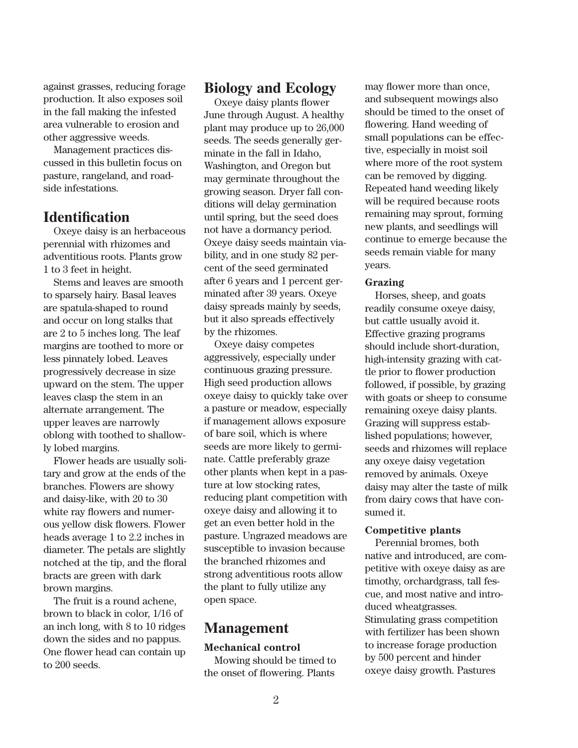against grasses, reducing forage production. It also exposes soil in the fall making the infested area vulnerable to erosion and other aggressive weeds.

Management practices discussed in this bulletin focus on pasture, rangeland, and roadside infestations.

# **Identification**

Oxeye daisy is an herbaceous perennial with rhizomes and adventitious roots. Plants grow 1 to 3 feet in height.

Stems and leaves are smooth to sparsely hairy. Basal leaves are spatula-shaped to round and occur on long stalks that are 2 to 5 inches long. The leaf margins are toothed to more or less pinnately lobed. Leaves progressively decrease in size upward on the stem. The upper leaves clasp the stem in an alternate arrangement. The upper leaves are narrowly oblong with toothed to shallowly lobed margins.

Flower heads are usually solitary and grow at the ends of the branches. Flowers are showy and daisy-like, with 20 to 30 white ray flowers and numerous yellow disk flowers. Flower heads average 1 to 2.2 inches in diameter. The petals are slightly notched at the tip, and the floral bracts are green with dark brown margins.

The fruit is a round achene, brown to black in color, 1/16 of an inch long, with 8 to 10 ridges down the sides and no pappus. One flower head can contain up to 200 seeds.

# **Biology and Ecology**

Oxeye daisy plants flower June through August. A healthy plant may produce up to 26,000 seeds. The seeds generally germinate in the fall in Idaho, Washington, and Oregon but may germinate throughout the growing season. Dryer fall conditions will delay germination until spring, but the seed does not have a dormancy period. Oxeye daisy seeds maintain viability, and in one study 82 percent of the seed germinated after 6 years and 1 percent germinated after 39 years. Oxeye daisy spreads mainly by seeds, but it also spreads effectively by the rhizomes.

Oxeye daisy competes aggressively, especially under continuous grazing pressure. High seed production allows oxeye daisy to quickly take over a pasture or meadow, especially if management allows exposure of bare soil, which is where seeds are more likely to germinate. Cattle preferably graze other plants when kept in a pasture at low stocking rates, reducing plant competition with oxeye daisy and allowing it to get an even better hold in the pasture. Ungrazed meadows are susceptible to invasion because the branched rhizomes and strong adventitious roots allow the plant to fully utilize any open space.

# **Management**

### **Mechanical control**

Mowing should be timed to the onset of flowering. Plants

may flower more than once, and subsequent mowings also should be timed to the onset of flowering. Hand weeding of small populations can be effective, especially in moist soil where more of the root system can be removed by digging. Repeated hand weeding likely will be required because roots remaining may sprout, forming new plants, and seedlings will continue to emerge because the seeds remain viable for many years.

#### **Grazing**

Horses, sheep, and goats readily consume oxeye daisy, but cattle usually avoid it. Effective grazing programs should include short-duration, high-intensity grazing with cattle prior to flower production followed, if possible, by grazing with goats or sheep to consume remaining oxeye daisy plants. Grazing will suppress established populations; however, seeds and rhizomes will replace any oxeye daisy vegetation removed by animals. Oxeye daisy may alter the taste of milk from dairy cows that have consumed it.

#### **Competitive plants**

Perennial bromes, both native and introduced, are competitive with oxeye daisy as are timothy, orchardgrass, tall fescue, and most native and introduced wheatgrasses. Stimulating grass competition with fertilizer has been shown to increase forage production by 500 percent and hinder oxeye daisy growth. Pastures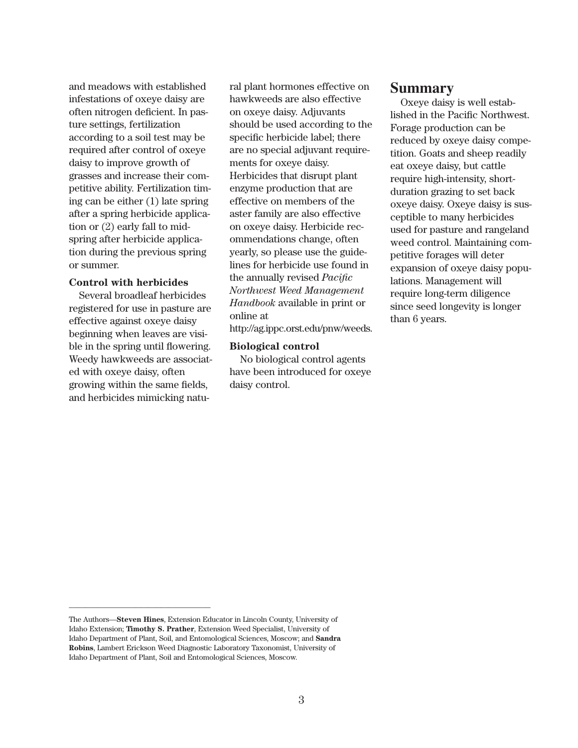and meadows with established infestations of oxeye daisy are often nitrogen deficient. In pasture settings, fertilization according to a soil test may be required after control of oxeye daisy to improve growth of grasses and increase their competitive ability. Fertilization timing can be either (1) late spring after a spring herbicide application or (2) early fall to midspring after herbicide application during the previous spring or summer.

#### **Control with herbicides**

Several broadleaf herbicides registered for use in pasture are effective against oxeye daisy beginning when leaves are visible in the spring until flowering. Weedy hawkweeds are associated with oxeye daisy, often growing within the same fields, and herbicides mimicking natu-

\_\_\_\_\_\_\_\_\_\_\_\_\_\_\_\_\_\_\_\_\_\_\_\_\_\_\_\_\_\_\_\_\_\_

ral plant hormones effective on hawkweeds are also effective on oxeye daisy. Adjuvants should be used according to the specific herbicide label; there are no special adjuvant requirements for oxeye daisy. Herbicides that disrupt plant enzyme production that are effective on members of the aster family are also effective on oxeye daisy. Herbicide recommendations change, often yearly, so please use the guidelines for herbicide use found in the annually revised *Pacific Northwest Weed Management Handbook* available in print or online at

http://ag.ippc.orst.edu/pnw/weeds.

#### **Biological control**

No biological control agents have been introduced for oxeye daisy control.

## **Summary**

Oxeye daisy is well established in the Pacific Northwest. Forage production can be reduced by oxeye daisy competition. Goats and sheep readily eat oxeye daisy, but cattle require high-intensity, shortduration grazing to set back oxeye daisy. Oxeye daisy is susceptible to many herbicides used for pasture and rangeland weed control. Maintaining competitive forages will deter expansion of oxeye daisy populations. Management will require long-term diligence since seed longevity is longer than 6 years.

The Authors—**Steven Hines**, Extension Educator in Lincoln County, University of Idaho Extension; **Timothy S. Prather**, Extension Weed Specialist, University of Idaho Department of Plant, Soil, and Entomological Sciences, Moscow; and **Sandra Robins**, Lambert Erickson Weed Diagnostic Laboratory Taxonomist, University of Idaho Department of Plant, Soil and Entomological Sciences, Moscow.